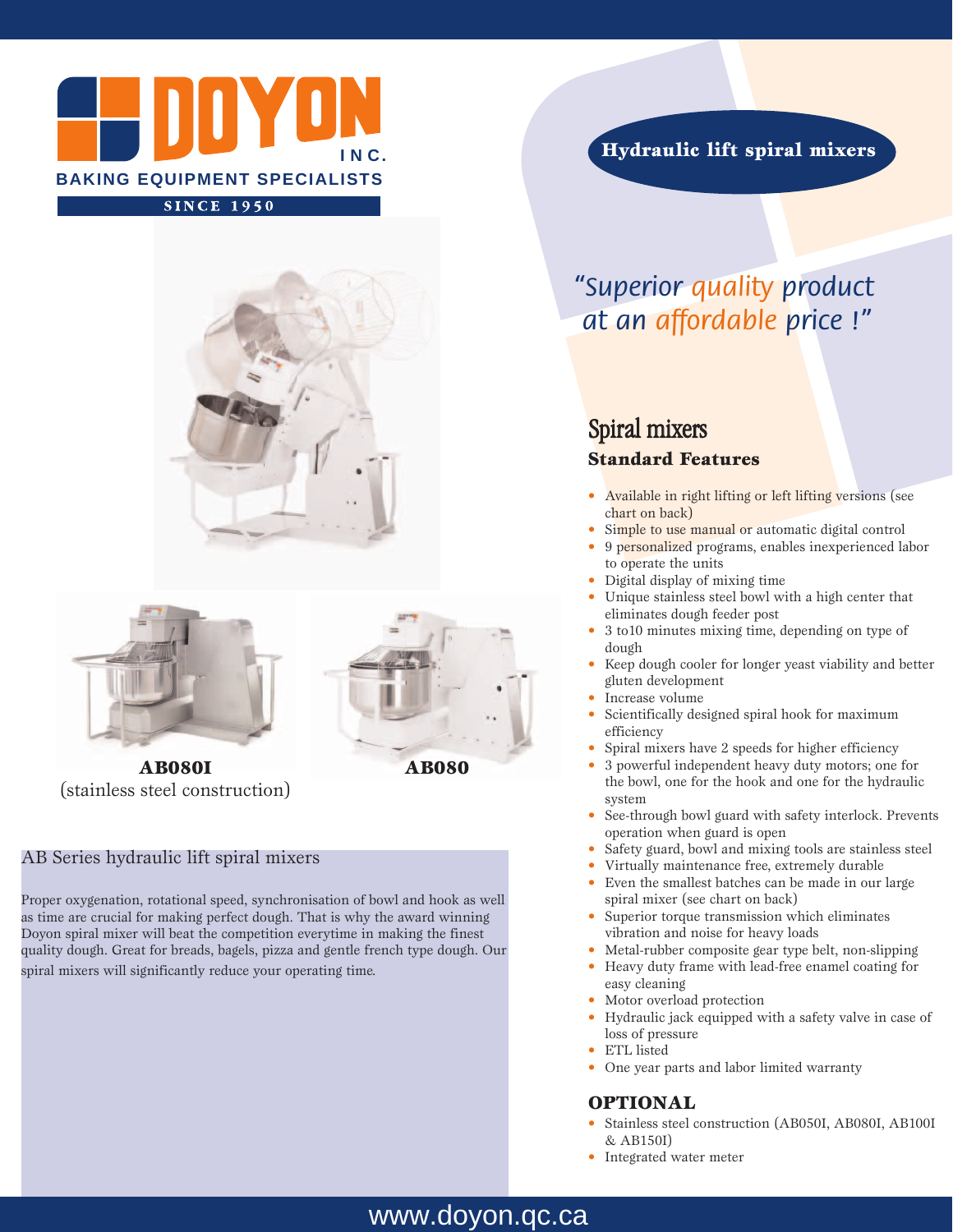



**AB080I** (stainless steel construction)

# **AB080**

#### AB Series hydraulic lift spiral mixers

Proper oxygenation, rotational speed, synchronisation of bowl and hook as well as time are crucial for making perfect dough. That is why the award winning Doyon spiral mixer will beat the competition everytime in making the finest quality dough. Great for breads, bagels, pizza and gentle french type dough. Our spiral mixers will significantly reduce your operating time.

**Hydraulic lift spiral mixers**

# *"Superior quality product at an affordable price !"*

## Spiral mixers **Standard Features**

- Available in right lifting or left lifting versions (see chart on back)
- Simple to use manual or automatic digital control
- 9 personalized programs, enables inexperienced labor to operate the units
- Digital display of mixing time
- Unique stainless steel bowl with a high center that eliminates dough feeder post
- 3 to10 minutes mixing time, depending on type of dough
- Keep dough cooler for longer yeast viability and better gluten development
- Increase volume
- Scientifically designed spiral hook for maximum efficiency
- Spiral mixers have 2 speeds for higher efficiency
- 3 powerful independent heavy duty motors; one for the bowl, one for the hook and one for the hydraulic system
- See-through bowl guard with safety interlock. Prevents operation when guard is open
- Safety guard, bowl and mixing tools are stainless steel
- Virtually maintenance free, extremely durable
- Even the smallest batches can be made in our large spiral mixer (see chart on back)
- Superior torque transmission which eliminates vibration and noise for heavy loads
- Metal-rubber composite gear type belt, non-slipping
- Heavy duty frame with lead-free enamel coating for easy cleaning
- Motor overload protection
- Hydraulic jack equipped with a safety valve in case of loss of pressure
	- ETL listed
- One year parts and labor limited warranty

#### **OPTIONAL**

- Stainless steel construction (AB050I, AB080I, AB100I & AB150I)
- Integrated water meter

### www.doyon.qc.ca